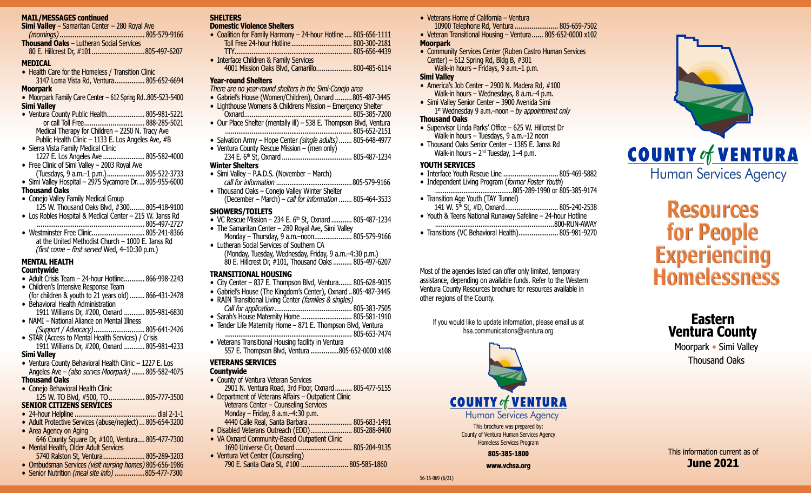#### **MAIL/MESSAGES continued**

**Simi Valley** – Samaritan Center – 280 Royal Ave *(mornings)*............................................. 805-579-9166 **Thousand Oaks** – Lutheran Social Services 80 E. Hillcrest Dr, #101............................805-497-6207

#### **MEDICAL**

• Health Care for the Homeless / Transition Clinic 3147 Loma Vista Rd, Ventura................ 805-652-6694

#### **Moorpark**

- Moorpark Family Care Center 612 Spring Rd..805-523-5400 **Simi Valley**
- Ventura County Public Health...................... 805-981-5221 or call Toll Free................................ 888-285-5021 Medical Therapy for Children – 2250 N. Tracy Ave Public Health Clinic – 1133 E. Los Angeles Ave, #B • Sierra Vista Family Medical Clinic
- 1227 E. Los Angeles Ave ...................... 805-582-4000
- Free Clinic of Simi Valley 2003 Royal Ave (Tuesdays, 9 a.m.–1 p.m.).................... 805-522-3733
- Simi Valley Hospital 2975 Sycamore Dr.  $\ldots$  805-955-6000

### **Thousand Oaks**

- Conejo Valley Family Medical Group 125 W. Thousand Oaks Blvd, #300........ 805-418-9100
- Los Robles Hospital & Medical Center 215 W. Janss Rd
- ......................................................... 805-497-2727 • Westminster Free Clinic............................ 805-241-8366 at the United Methodist Church – 1000 E. Janss Rd

#### *(first come – first served* Wed, 4–10:30 p.m.) **MENTAL HEALTH**

#### **Countywide**

- Adult Crisis Team 24-hour Hotline........... 866-998-2243
- Children's Intensive Response Team (for children & youth to 21 years old)........ 866-431-2478
- Behavioral Health Administration 1911 Williams Dr, #200, Oxnard ........... 805-981-6830
- NAMI National Aliance on Mental Illness *(Support / Advocacy)*........................... 805-641-2426
- STAR (Access to Mental Health Services) / Crisis 1911 Williams Dr, #200, Oxnard ........... 805-981-4233

# **Simi Valley**

• Ventura County Behavioral Health Clinic – 1227 E. Los Angeles Ave – *(also serves Moorpark)* ....... 805-582-4075 **Thousand Oaks**

• Conejo Behavioral Health Clinic 125 W. TO Blvd, #500, TO................... 805-777-3500

# **SENIOR CITIZENS SERVICES**

- 24-hour Helpline ........................................... dial 2-1-1
- Adult Protective Services (abuse/neglect)... 805-654-3200
- Area Agency on Aging 646 County Square Dr, #100, Ventura.... 805-477-7300
- Mental Health, Older Adult Services 5740 Ralston St, Ventura...................... 805-289-3203
- Ombudsman Services *(visit nursing homes)* 805-656-1986
- Senior Nutrition *(meal site info)*................805-477-7300

# **SHELTERS**

### **Domestic Violence Shelters**

- Coalition for Family Harmony 24-hour Hotline .... 805-656-1111 Toll Free 24-hour Hotline ................................ 800-300-2181 TTY.............................................................. 805-656-4439 • Interface Children & Family Services 4001 Mission Oaks Blvd, Camarillo................... 800-485-6114
	-

# **Year-round Shelters**

- *There are no year-round shelters in the Simi-Conejo area*
- Gabriel's House (Women/Children), Oxnard .........805-487-3445
- Lighthouse Womens & Childrens Mission Emergency Shelter Oxnard......................................................... 805-385-7200
- Our Place Shelter (mentally ill) 538 E. Thompson Blvd, Ventura ................................................................... 805-652-2151
- Salvation Army Hope Center *(single adults)*....... 805-648-4977
- Ventura County Rescue Mission (men only) 234 E. 6th St, Oxnard ..................................... 805-487-1234 **Winter Shelters**
- Simi Valley P.A.D.S. (November March)
- *call for information* ........................................805-579-9166 • Thousand Oaks – Conejo Valley Winter Shelter
- (December March) *call for information* ....... 805-464-3533

### **SHOWERS/TOILETS**

- VC Rescue Mission 234 E.  $6<sup>th</sup>$  St, Oxnard ........... 805-487-1234
- The Samaritan Center 280 Royal Ave, Simi Valley Monday – Thursday, 9 a.m.-noon.......................... 805-579-9166 • Lutheran Social Services of Southern CA
	- (Monday, Tuesday, Wednesday, Friday, 9 a.m.–4:30 p.m.) 80 E. Hillcrest Dr, #101, Thousand Oaks.......... 805-497-6207

# **TRANSITIONAL HOUSING**

- City Center 837 E. Thompson Blvd, Ventura....... 805-628-9035
- Gabriel's House (The Kingdom's Center), Oxnard..805-487-3445
- RAIN Transitional Living Center *(families & singles) Call for application*......................................... 805-383-7505 • Sarah's House Maternity Home ........................... 805-581-1910
- Tender Life Maternity Home  $-871$  E. Thompson Blvd, Ventura
- ................................................................... 805-653-7474 • Veterans Transitional Housing facility in Ventura
- 557 E. Thompson Blvd, Ventura ...............805-652-0000 x108

# **VETERANS SERVICES**

# **Countywide**

- County of Ventura Veteran Services 2901 N. Ventura Road, 3rd Floor, Oxnard......... 805-477-5155
- Department of Veterans Affairs Outpatient Clinic Veterans Center – Counseling Services Monday – Friday, 8 a.m.–4:30 p.m. 4440 Calle Real, Santa Barbara ....................... 805-683-1491 • Disabled Veterans Outreach (EDD)...................... 805-288-8400
- VA Oxnard Community-Based Outpatient Clinic 1690 Universe Cir, Oxnard .............................. 805-204-9135
- Ventura Vet Center (Counseling) 790 E. Santa Clara St, #100 .......................... 805-585-1860
- Veterans Home of California Ventura
- 10900 Telephone Rd, Ventura ....................... 805-659-7502 • Veteran Transitional Housing – Ventura...... 805-652-0000 x102

### **Moorpark**

• Community Services Center (Ruben Castro Human Services Center) – 612 Spring Rd, Bldg B,  $\#301$ Walk-in hours – Fridays, 9 a.m.–1 p.m.

#### **Simi Valley**

- America's Job Center 2900 N. Madera Rd, #100 Walk-in hours – Wednesdays, 8 a.m. $-4$  p.m.
- Simi Valley Senior Center 3900 Avenida Simi 1st Wednesday 9 a.m.–noon – *by appointment only*

# **Thousand Oaks**

- Supervisor Linda Parks' Office 625 W. Hillcrest Dr Walk-in hours – Tuesdays, 9 a.m.–12 noon
- Thousand Oaks Senior Center 1385 E. Janss Rd Walk-in hours –  $2<sup>nd</sup>$  Tuesday, 1–4 p.m.

# **YOUTH SERVICES**

- Interface Youth Rescue Line ............................. 805-469-5882
- Independent Living Program (former Foster Youth) .........................................805-289-1990 or 805-385-9174
- Transition Age Youth (TAY Tunnel) 141 W. 5<sup>th</sup> St, #D, Oxnard.................................. 805-240-2538
- Youth & Teens National Runaway Safeline 24-hour Hotline ...............................................................800-RUN-AWAY
- Transitions (VC Behavioral Health)..................... 805-981-9270

Most of the agencies listed can offer only limited, temporary assistance, depending on available funds. Refer to the Western Ventura County Resources brochure for resources available in other regions of the County.

If you would like to update information, please email us at hsa.communications@ventura.org



This brochure was prepared by: County of Ventura Human Services Agency Homeless Services Program

**805-385-1800**

**www.vchsa.org**



# **Resources for People Experiencing Homelessness**

# **Eastern Ventura County**

Moorpark • Simi Valley Thousand Oaks

This information current as of **June 2021**